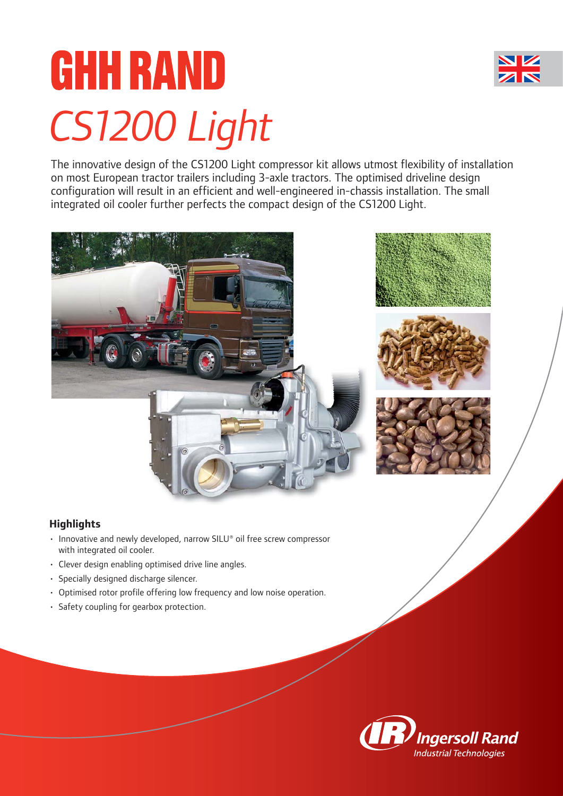

# **GHH RAND** *CS1200 Light*

The innovative design of the CS1200 Light compressor kit allows utmost flexibility of installation on most European tractor trailers including 3-axle tractors. The optimised driveline design configuration will result in an efficient and well-engineered in-chassis installation. The small integrated oil cooler further perfects the compact design of the CS1200 Light.





- Innovative and newly developed, narrow SILU® oil free screw compressor with integrated oil cooler.
- Clever design enabling optimised drive line angles.
- Specially designed discharge silencer.
- Optimised rotor profile offering low frequency and low noise operation.
- Safety coupling for gearbox protection.